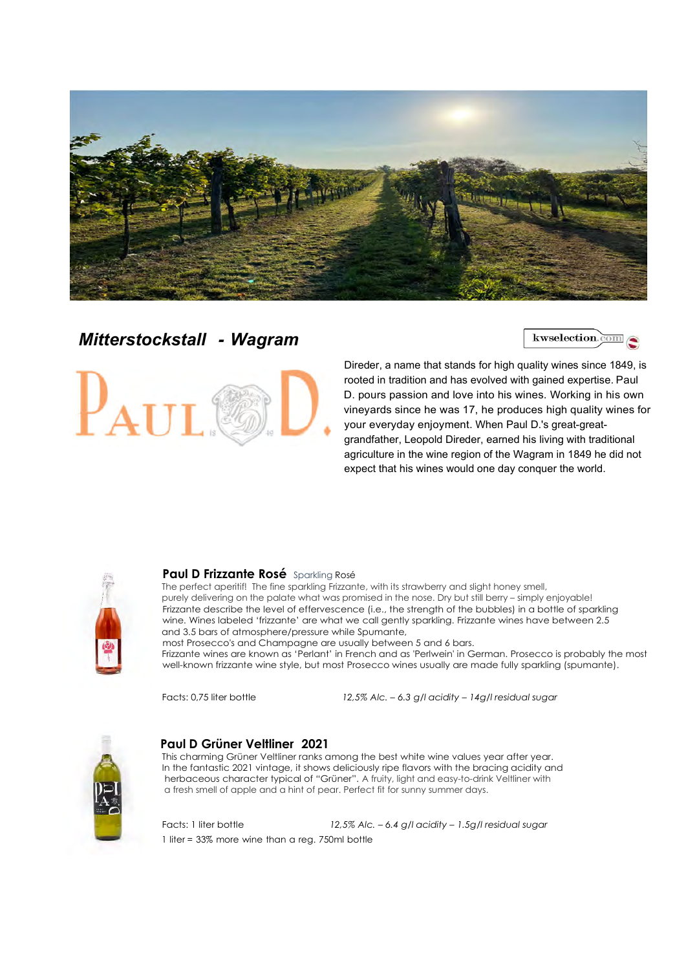

## Mitterstockstall - Wagram

kwselection.com



Direder, a name that stands for high quality wines since 1849, is rooted in tradition and has evolved with gained expertise. Paul D. pours passion and love into his wines. Working in his own vineyards since he was 17, he produces high quality wines for your everyday enjoyment. When Paul D.'s great-greatgrandfather, Leopold Direder, earned his living with traditional agriculture in the wine region of the Wagram in 1849 he did not expect that his wines would one day conquer the world.



#### Paul D Frizzante Rosé Sparkling Rosé

The perfect aperitif! The fine sparkling Frizzante, with its strawberry and slight honey smell, purely delivering on the palate what was promised in the nose. Dry but still berry – simply enjoyable! Frizzante describe the level of effervescence (i.e., the strength of the bubbles) in a bottle of sparkling wine. Wines labeled 'frizzante' are what we call gently sparkling. Frizzante wines have between 2.5 and 3.5 bars of atmosphere/pressure while Spumante,

 most Prosecco's and Champagne are usually between 5 and 6 bars. Frizzante wines are known as 'Perlant' in French and as 'Perlwein' in German. Prosecco is probably the most well-known frizzante wine style, but most Prosecco wines usually are made fully sparkling (spumante).<br>Facts: 0,75 liter bottle 12,5% Alc. – 6.3 g/l acidity – 14g/l residual sugar



#### Paul D Grüner Veltliner 2021

This charming Grüner Veltliner ranks among the best white wine values year after year. In the fantastic 2021 vintage, it shows deliciously ripe flavors with the bracing acidity and herbaceous character typical of "Grüner". A fruity, light and easy-to-drink Veltliner with a fresh smell of apple and a hint of pear. Perfect fit for sunny summer days.

Facts: 1 liter bottle 12,5% Alc. – 6.4 g/l acidity – 1.5g/l residual sugar 1 liter = 33% more wine than a reg. 750ml bottle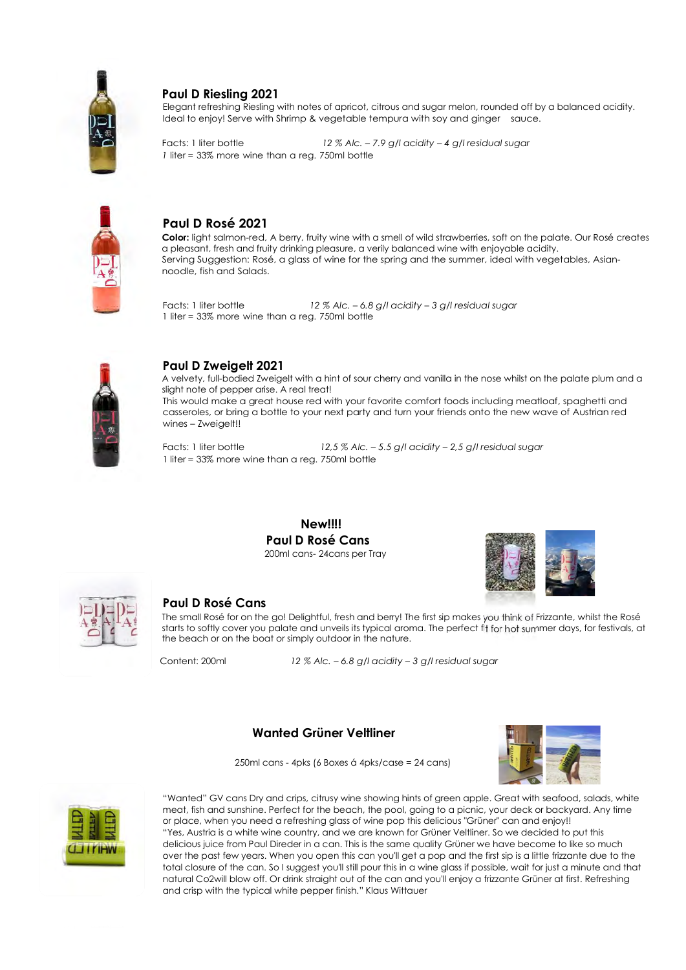

#### Paul D Riesling 2021

Elegant refreshing Riesling with notes of apricot, citrous and sugar melon, rounded off by a balanced acidity. Ideal to enjoy! Serve with Shrimp & vegetable tempura with soy and ginger sauce.

Facts: 1 liter bottle 12 % Alc. - 7.9 g/l acidity - 4 g/l residual sugar 1 liter = 33% more wine than a reg. 750ml bottle



#### Paul D Rosé 2021

Color: light salmon-red, A berry, fruity wine with a smell of wild strawberries, soft on the palate. Our Rosé creates a pleasant, fresh and fruity drinking pleasure, a verily balanced wine with enjoyable acidity. Serving Suggestion: Rosé, a glass of wine for the spring and the summer, ideal with vegetables, Asiannoodle, fish and Salads.

Facts: 1 liter bottle 12 % Alc. – 6.8 g/l acidity – 3 g/l residual sugar 1 liter = 33% more wine than a reg. 750ml bottle



#### Paul D Zweigelt 2021

A velvety, full-bodied Zweigelt with a hint of sour cherry and vanilla in the nose whilst on the palate plum and a slight note of pepper arise. A real treat! This would make a great house red with your favorite comfort foods including meatloaf, spaghetti and

casseroles, or bring a bottle to your next party and turn your friends onto the new wave of Austrian red wines – Zweigelt!!

Facts: 1 liter bottle 12,5 % Alc. - 5.5 g/l acidity - 2,5 g/l residual sugar 1 liter = 33% more wine than a reg. 750ml bottle

> New!!!! Paul D Rosé Cans 200ml cans- 24cans per Tray





#### Paul D Rosé Cans

The small Rosé for on the go! Delightful, fresh and berry! The first sip makes you think of Frizzante, whilst the Rosé starts to softly cover you palate and unveils its typical aroma. The perfect fit for hot summer days, for festivals, at the beach or on the boat or simply outdoor in the nature.

Content: 200ml 12 % Alc. – 6.8 g/l acidity – 3 g/l residual sugar

#### Wanted Grüner Veltliner



250ml cans - 4pks (6 Boxes á 4pks/case = 24 cans)



 "Wanted" GV cans Dry and crips, citrusy wine showing hints of green apple. Great with seafood, salads, white meat, fish and sunshine. Perfect for the beach, the pool, going to a picnic, your deck or backyard. Any time or place, when you need a refreshing glass of wine pop this delicious "Grüner" can and enjoy!! "Yes, Austria is a white wine country, and we are known for Grüner Veltliner. So we decided to put this delicious juice from Paul Direder in a can. This is the same quality Grüner we have become to like so much over the past few years. When you open this can you'll get a pop and the first sip is a little frizzante due to the total closure of the can. So I suggest you'll still pour this in a wine glass if possible, wait for just a minute and that natural Co2will blow off. Or drink straight out of the can and you'll enjoy a frizzante Grüner at first. Refreshing and crisp with the typical white pepper finish." Klaus Wittauer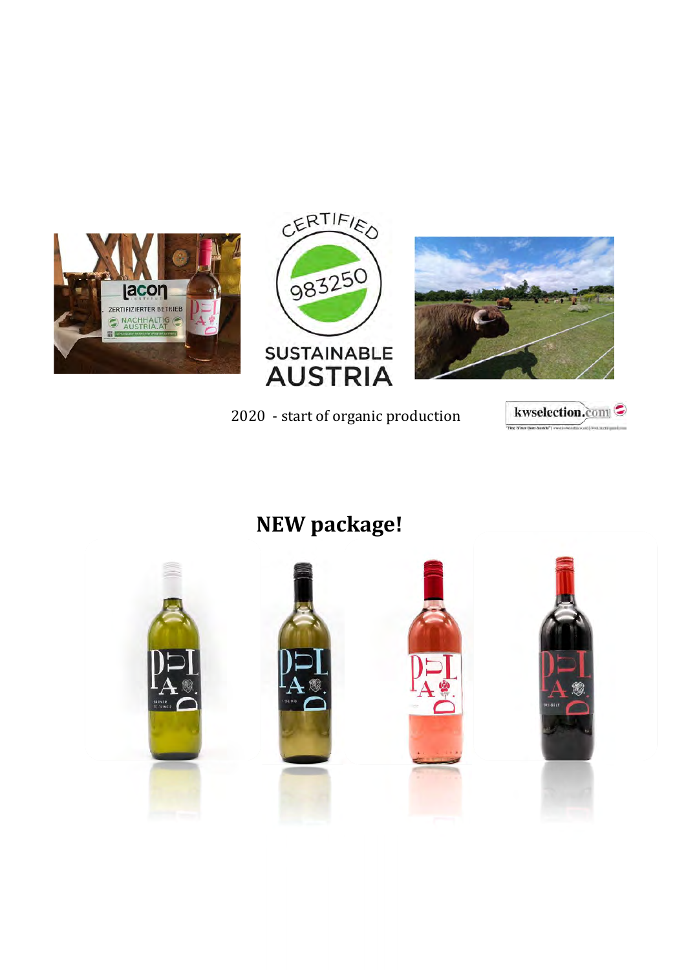





# 2020 - start of organic production kwselection.com



# NEW package!